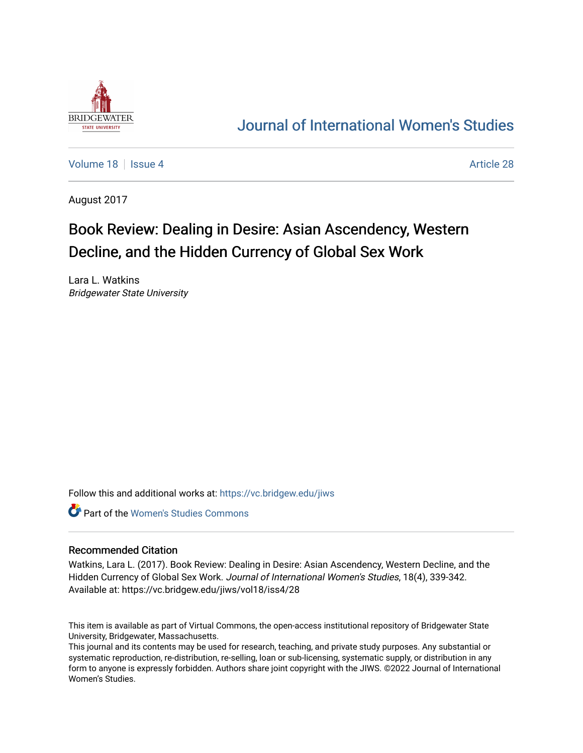

## [Journal of International Women's Studies](https://vc.bridgew.edu/jiws)

[Volume 18](https://vc.bridgew.edu/jiws/vol18) September 28 Article 28

August 2017

# Book Review: Dealing in Desire: Asian Ascendency, Western Decline, and the Hidden Currency of Global Sex Work

Lara L. Watkins Bridgewater State University

Follow this and additional works at: [https://vc.bridgew.edu/jiws](https://vc.bridgew.edu/jiws?utm_source=vc.bridgew.edu%2Fjiws%2Fvol18%2Fiss4%2F28&utm_medium=PDF&utm_campaign=PDFCoverPages)

**C** Part of the Women's Studies Commons

#### Recommended Citation

Watkins, Lara L. (2017). Book Review: Dealing in Desire: Asian Ascendency, Western Decline, and the Hidden Currency of Global Sex Work. Journal of International Women's Studies, 18(4), 339-342. Available at: https://vc.bridgew.edu/jiws/vol18/iss4/28

This item is available as part of Virtual Commons, the open-access institutional repository of Bridgewater State University, Bridgewater, Massachusetts.

This journal and its contents may be used for research, teaching, and private study purposes. Any substantial or systematic reproduction, re-distribution, re-selling, loan or sub-licensing, systematic supply, or distribution in any form to anyone is expressly forbidden. Authors share joint copyright with the JIWS. ©2022 Journal of International Women's Studies.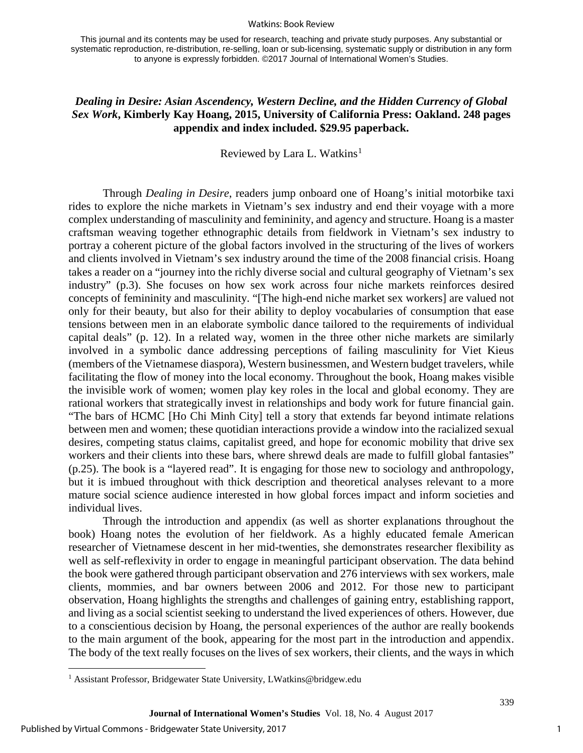#### Watkins: Book Review

This journal and its contents may be used for research, teaching and private study purposes. Any substantial or systematic reproduction, re-distribution, re-selling, loan or sub-licensing, systematic supply or distribution in any form to anyone is expressly forbidden. ©2017 Journal of International Women's Studies.

### *Dealing in Desire: Asian Ascendency, Western Decline, and the Hidden Currency of Global Sex Work***, Kimberly Kay Hoang, 2015, University of California Press: Oakland. 248 pages appendix and index included. \$29.95 paperback.**

Reviewed by Lara L. Watkins<sup>[1](#page-1-0)</sup>

Through *Dealing in Desire*, readers jump onboard one of Hoang's initial motorbike taxi rides to explore the niche markets in Vietnam's sex industry and end their voyage with a more complex understanding of masculinity and femininity, and agency and structure. Hoang is a master craftsman weaving together ethnographic details from fieldwork in Vietnam's sex industry to portray a coherent picture of the global factors involved in the structuring of the lives of workers and clients involved in Vietnam's sex industry around the time of the 2008 financial crisis. Hoang takes a reader on a "journey into the richly diverse social and cultural geography of Vietnam's sex industry" (p.3). She focuses on how sex work across four niche markets reinforces desired concepts of femininity and masculinity. "[The high-end niche market sex workers] are valued not only for their beauty, but also for their ability to deploy vocabularies of consumption that ease tensions between men in an elaborate symbolic dance tailored to the requirements of individual capital deals" (p. 12). In a related way, women in the three other niche markets are similarly involved in a symbolic dance addressing perceptions of failing masculinity for Viet Kieus (members of the Vietnamese diaspora), Western businessmen, and Western budget travelers, while facilitating the flow of money into the local economy. Throughout the book, Hoang makes visible the invisible work of women; women play key roles in the local and global economy. They are rational workers that strategically invest in relationships and body work for future financial gain. "The bars of HCMC [Ho Chi Minh City] tell a story that extends far beyond intimate relations between men and women; these quotidian interactions provide a window into the racialized sexual desires, competing status claims, capitalist greed, and hope for economic mobility that drive sex workers and their clients into these bars, where shrewd deals are made to fulfill global fantasies" (p.25). The book is a "layered read". It is engaging for those new to sociology and anthropology, but it is imbued throughout with thick description and theoretical analyses relevant to a more mature social science audience interested in how global forces impact and inform societies and individual lives.

Through the introduction and appendix (as well as shorter explanations throughout the book) Hoang notes the evolution of her fieldwork. As a highly educated female American researcher of Vietnamese descent in her mid-twenties, she demonstrates researcher flexibility as well as self-reflexivity in order to engage in meaningful participant observation. The data behind the book were gathered through participant observation and 276 interviews with sex workers, male clients, mommies, and bar owners between 2006 and 2012. For those new to participant observation, Hoang highlights the strengths and challenges of gaining entry, establishing rapport, and living as a social scientist seeking to understand the lived experiences of others. However, due to a conscientious decision by Hoang, the personal experiences of the author are really bookends to the main argument of the book, appearing for the most part in the introduction and appendix. The body of the text really focuses on the lives of sex workers, their clients, and the ways in which

l

<span id="page-1-0"></span><sup>&</sup>lt;sup>1</sup> Assistant Professor, Bridgewater State University, LWatkins@bridgew.edu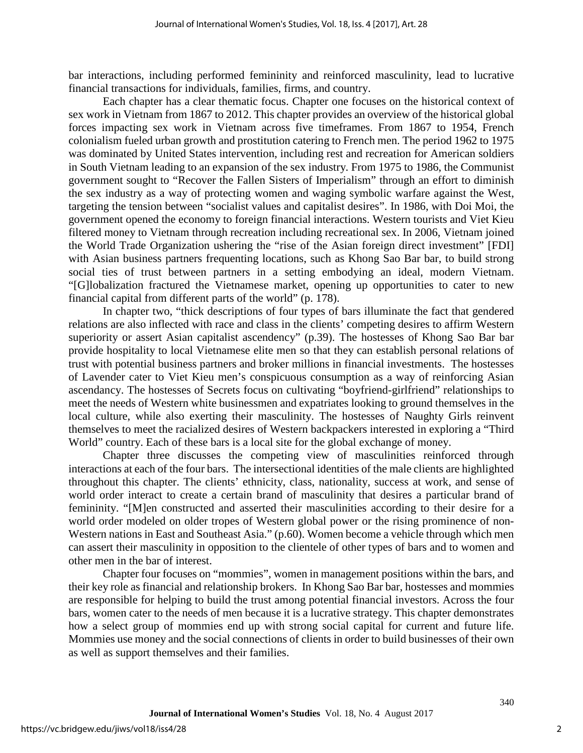bar interactions, including performed femininity and reinforced masculinity, lead to lucrative financial transactions for individuals, families, firms, and country.

Each chapter has a clear thematic focus. Chapter one focuses on the historical context of sex work in Vietnam from 1867 to 2012. This chapter provides an overview of the historical global forces impacting sex work in Vietnam across five timeframes. From 1867 to 1954, French colonialism fueled urban growth and prostitution catering to French men. The period 1962 to 1975 was dominated by United States intervention, including rest and recreation for American soldiers in South Vietnam leading to an expansion of the sex industry. From 1975 to 1986, the Communist government sought to "Recover the Fallen Sisters of Imperialism" through an effort to diminish the sex industry as a way of protecting women and waging symbolic warfare against the West, targeting the tension between "socialist values and capitalist desires". In 1986, with Doi Moi, the government opened the economy to foreign financial interactions. Western tourists and Viet Kieu filtered money to Vietnam through recreation including recreational sex. In 2006, Vietnam joined the World Trade Organization ushering the "rise of the Asian foreign direct investment" [FDI] with Asian business partners frequenting locations, such as Khong Sao Bar bar, to build strong social ties of trust between partners in a setting embodying an ideal, modern Vietnam. "[G]lobalization fractured the Vietnamese market, opening up opportunities to cater to new financial capital from different parts of the world" (p. 178).

In chapter two, "thick descriptions of four types of bars illuminate the fact that gendered relations are also inflected with race and class in the clients' competing desires to affirm Western superiority or assert Asian capitalist ascendency" (p.39). The hostesses of Khong Sao Bar bar provide hospitality to local Vietnamese elite men so that they can establish personal relations of trust with potential business partners and broker millions in financial investments. The hostesses of Lavender cater to Viet Kieu men's conspicuous consumption as a way of reinforcing Asian ascendancy. The hostesses of Secrets focus on cultivating "boyfriend-girlfriend" relationships to meet the needs of Western white businessmen and expatriates looking to ground themselves in the local culture, while also exerting their masculinity. The hostesses of Naughty Girls reinvent themselves to meet the racialized desires of Western backpackers interested in exploring a "Third World" country. Each of these bars is a local site for the global exchange of money.

Chapter three discusses the competing view of masculinities reinforced through interactions at each of the four bars. The intersectional identities of the male clients are highlighted throughout this chapter. The clients' ethnicity, class, nationality, success at work, and sense of world order interact to create a certain brand of masculinity that desires a particular brand of femininity. "[M]en constructed and asserted their masculinities according to their desire for a world order modeled on older tropes of Western global power or the rising prominence of non-Western nations in East and Southeast Asia." (p.60). Women become a vehicle through which men can assert their masculinity in opposition to the clientele of other types of bars and to women and other men in the bar of interest.

Chapter four focuses on "mommies", women in management positions within the bars, and their key role as financial and relationship brokers. In Khong Sao Bar bar, hostesses and mommies are responsible for helping to build the trust among potential financial investors. Across the four bars, women cater to the needs of men because it is a lucrative strategy. This chapter demonstrates how a select group of mommies end up with strong social capital for current and future life. Mommies use money and the social connections of clients in order to build businesses of their own as well as support themselves and their families.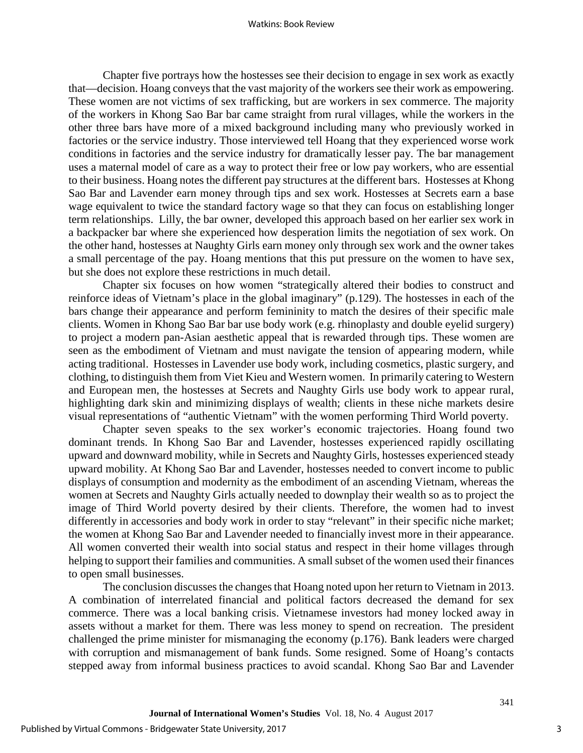Chapter five portrays how the hostesses see their decision to engage in sex work as exactly that—decision. Hoang conveys that the vast majority of the workers see their work as empowering. These women are not victims of sex trafficking, but are workers in sex commerce. The majority of the workers in Khong Sao Bar bar came straight from rural villages, while the workers in the other three bars have more of a mixed background including many who previously worked in factories or the service industry. Those interviewed tell Hoang that they experienced worse work conditions in factories and the service industry for dramatically lesser pay. The bar management uses a maternal model of care as a way to protect their free or low pay workers, who are essential to their business. Hoang notes the different pay structures at the different bars. Hostesses at Khong Sao Bar and Lavender earn money through tips and sex work. Hostesses at Secrets earn a base wage equivalent to twice the standard factory wage so that they can focus on establishing longer term relationships. Lilly, the bar owner, developed this approach based on her earlier sex work in a backpacker bar where she experienced how desperation limits the negotiation of sex work. On the other hand, hostesses at Naughty Girls earn money only through sex work and the owner takes a small percentage of the pay. Hoang mentions that this put pressure on the women to have sex, but she does not explore these restrictions in much detail.

Chapter six focuses on how women "strategically altered their bodies to construct and reinforce ideas of Vietnam's place in the global imaginary" (p.129). The hostesses in each of the bars change their appearance and perform femininity to match the desires of their specific male clients. Women in Khong Sao Bar bar use body work (e.g. rhinoplasty and double eyelid surgery) to project a modern pan-Asian aesthetic appeal that is rewarded through tips. These women are seen as the embodiment of Vietnam and must navigate the tension of appearing modern, while acting traditional. Hostesses in Lavender use body work, including cosmetics, plastic surgery, and clothing, to distinguish them from Viet Kieu and Western women. In primarily catering to Western and European men, the hostesses at Secrets and Naughty Girls use body work to appear rural, highlighting dark skin and minimizing displays of wealth; clients in these niche markets desire visual representations of "authentic Vietnam" with the women performing Third World poverty.

Chapter seven speaks to the sex worker's economic trajectories. Hoang found two dominant trends. In Khong Sao Bar and Lavender, hostesses experienced rapidly oscillating upward and downward mobility, while in Secrets and Naughty Girls, hostesses experienced steady upward mobility. At Khong Sao Bar and Lavender, hostesses needed to convert income to public displays of consumption and modernity as the embodiment of an ascending Vietnam, whereas the women at Secrets and Naughty Girls actually needed to downplay their wealth so as to project the image of Third World poverty desired by their clients. Therefore, the women had to invest differently in accessories and body work in order to stay "relevant" in their specific niche market; the women at Khong Sao Bar and Lavender needed to financially invest more in their appearance. All women converted their wealth into social status and respect in their home villages through helping to support their families and communities. A small subset of the women used their finances to open small businesses.

The conclusion discusses the changes that Hoang noted upon her return to Vietnam in 2013. A combination of interrelated financial and political factors decreased the demand for sex commerce. There was a local banking crisis. Vietnamese investors had money locked away in assets without a market for them. There was less money to spend on recreation. The president challenged the prime minister for mismanaging the economy (p.176). Bank leaders were charged with corruption and mismanagement of bank funds. Some resigned. Some of Hoang's contacts stepped away from informal business practices to avoid scandal. Khong Sao Bar and Lavender